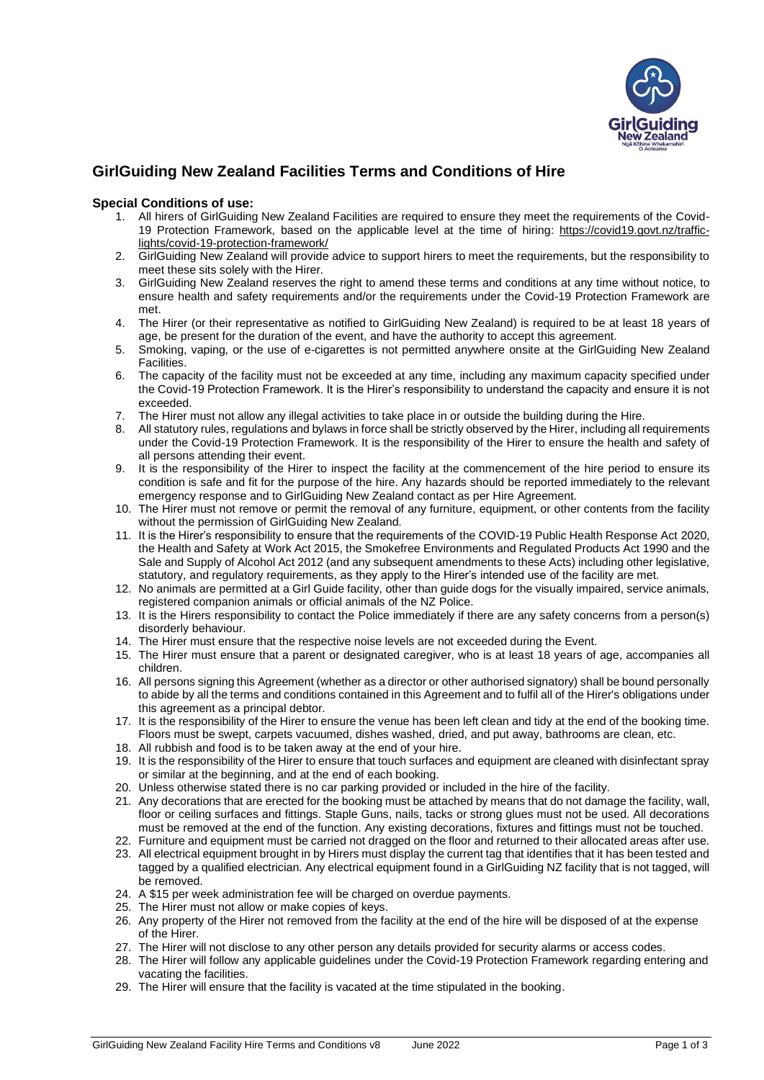

# **GirlGuiding New Zealand Facilities Terms and Conditions of Hire**

# **Special Conditions of use:**

- 1. All hirers of GirlGuiding New Zealand Facilities are required to ensure they meet the requirements of the Covid-19 Protection Framework, based on the applicable level at the time of hiring: [https://covid19.govt.nz/traffic](https://covid19.govt.nz/traffic-lights/covid-19-protection-framework/)[lights/covid-19-protection-framework/](https://covid19.govt.nz/traffic-lights/covid-19-protection-framework/)
- 2. GirlGuiding New Zealand will provide advice to support hirers to meet the requirements, but the responsibility to meet these sits solely with the Hirer.
- 3. GirlGuiding New Zealand reserves the right to amend these terms and conditions at any time without notice, to ensure health and safety requirements and/or the requirements under the Covid-19 Protection Framework are met.
- 4. The Hirer (or their representative as notified to GirlGuiding New Zealand) is required to be at least 18 years of age, be present for the duration of the event, and have the authority to accept this agreement.
- 5. Smoking, vaping, or the use of e-cigarettes is not permitted anywhere onsite at the GirlGuiding New Zealand Facilities.
- 6. The capacity of the facility must not be exceeded at any time, including any maximum capacity specified under the Covid-19 Protection Framework. It is the Hirer's responsibility to understand the capacity and ensure it is not exceeded.
- 7. The Hirer must not allow any illegal activities to take place in or outside the building during the Hire.
- 8. All statutory rules, regulations and bylaws in force shall be strictly observed by the Hirer, including all requirements under the Covid-19 Protection Framework. It is the responsibility of the Hirer to ensure the health and safety of all persons attending their event.
- 9. It is the responsibility of the Hirer to inspect the facility at the commencement of the hire period to ensure its condition is safe and fit for the purpose of the hire. Any hazards should be reported immediately to the relevant emergency response and to GirlGuiding New Zealand contact as per Hire Agreement.
- 10. The Hirer must not remove or permit the removal of any furniture, equipment, or other contents from the facility without the permission of GirlGuiding New Zealand.
- 11. It is the Hirer's responsibility to ensure that the requirements of the COVID-19 Public Health Response Act 2020, the Health and Safety at Work Act 2015, the Smokefree Environments and Regulated Products Act 1990 and the Sale and Supply of Alcohol Act 2012 (and any subsequent amendments to these Acts) including other legislative, statutory, and regulatory requirements, as they apply to the Hirer's intended use of the facility are met.
- 12. No animals are permitted at a Girl Guide facility, other than guide dogs for the visually impaired, service animals, registered companion animals or official animals of the NZ Police.
- 13. It is the Hirers responsibility to contact the Police immediately if there are any safety concerns from a person(s) disorderly behaviour.
- 14. The Hirer must ensure that the respective noise levels are not exceeded during the Event.
- 15. The Hirer must ensure that a parent or designated caregiver, who is at least 18 years of age, accompanies all children.
- 16. All persons signing this Agreement (whether as a director or other authorised signatory) shall be bound personally to abide by all the terms and conditions contained in this Agreement and to fulfil all of the Hirer's obligations under this agreement as a principal debtor.
- 17. It is the responsibility of the Hirer to ensure the venue has been left clean and tidy at the end of the booking time. Floors must be swept, carpets vacuumed, dishes washed, dried, and put away, bathrooms are clean, etc.
- 18. All rubbish and food is to be taken away at the end of your hire.
- 19. It is the responsibility of the Hirer to ensure that touch surfaces and equipment are cleaned with disinfectant spray or similar at the beginning, and at the end of each booking.
- 20. Unless otherwise stated there is no car parking provided or included in the hire of the facility.
- 21. Any decorations that are erected for the booking must be attached by means that do not damage the facility, wall, floor or ceiling surfaces and fittings. Staple Guns, nails, tacks or strong glues must not be used. All decorations must be removed at the end of the function. Any existing decorations, fixtures and fittings must not be touched.
- 22. Furniture and equipment must be carried not dragged on the floor and returned to their allocated areas after use.
- 23. All electrical equipment brought in by Hirers must display the current tag that identifies that it has been tested and tagged by a qualified electrician. Any electrical equipment found in a GirlGuiding NZ facility that is not tagged, will be removed.
- 24. A \$15 per week administration fee will be charged on overdue payments.
- 25. The Hirer must not allow or make copies of keys.
- 26. Any property of the Hirer not removed from the facility at the end of the hire will be disposed of at the expense of the Hirer.
- 27. The Hirer will not disclose to any other person any details provided for security alarms or access codes.
- 28. The Hirer will follow any applicable guidelines under the Covid-19 Protection Framework regarding entering and vacating the facilities.
- 29. The Hirer will ensure that the facility is vacated at the time stipulated in the booking.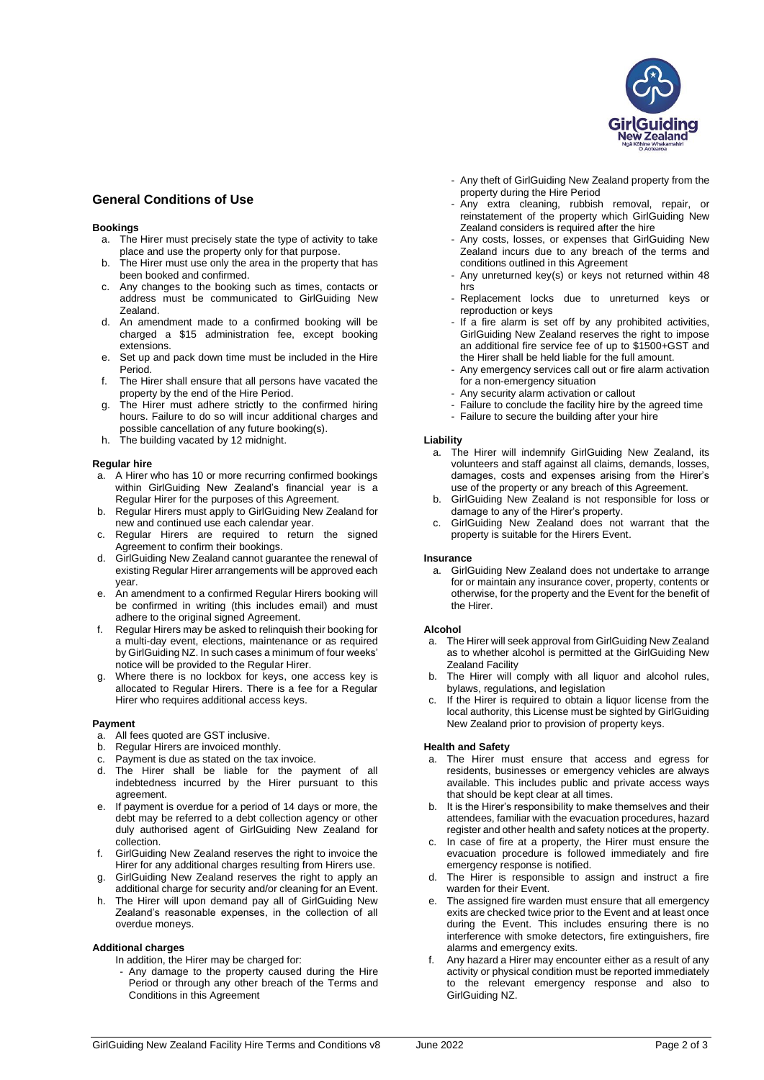

# **General Conditions of Use**

#### **Bookings**

- a. The Hirer must precisely state the type of activity to take place and use the property only for that purpose.
- b. The Hirer must use only the area in the property that has been booked and confirmed.
- c. Any changes to the booking such as times, contacts or address must be communicated to GirlGuiding New Zealand.
- d. An amendment made to a confirmed booking will be charged a \$15 administration fee, except booking extensions.
- e. Set up and pack down time must be included in the Hire Period.
- f. The Hirer shall ensure that all persons have vacated the property by the end of the Hire Period.
- g. The Hirer must adhere strictly to the confirmed hiring hours. Failure to do so will incur additional charges and possible cancellation of any future booking(s).
- h. The building vacated by 12 midnight.

#### **Regular hire**

- a. A Hirer who has 10 or more recurring confirmed bookings within GirlGuiding New Zealand's financial year is a Regular Hirer for the purposes of this Agreement.
- b. Regular Hirers must apply to GirlGuiding New Zealand for new and continued use each calendar year.
- c. Regular Hirers are required to return the signed Agreement to confirm their bookings.
- d. GirlGuiding New Zealand cannot guarantee the renewal of existing Regular Hirer arrangements will be approved each year.
- e. An amendment to a confirmed Regular Hirers booking will be confirmed in writing (this includes email) and must adhere to the original signed Agreement.
- f. Regular Hirers may be asked to relinquish their booking for a multi-day event, elections, maintenance or as required by GirlGuiding NZ. In such cases a minimum of four weeks' notice will be provided to the Regular Hirer.
- g. Where there is no lockbox for keys, one access key is allocated to Regular Hirers. There is a fee for a Regular Hirer who requires additional access keys.

#### **Payment**

- a. All fees quoted are GST inclusive.
- b. Regular Hirers are invoiced monthly.
- c. Payment is due as stated on the tax invoice.<br>d. The Hirer shall be liable for the pay
- The Hirer shall be liable for the payment of all indebtedness incurred by the Hirer pursuant to this agreement.
- e. If payment is overdue for a period of 14 days or more, the debt may be referred to a debt collection agency or other duly authorised agent of GirlGuiding New Zealand for collection.
- f. GirlGuiding New Zealand reserves the right to invoice the Hirer for any additional charges resulting from Hirers use.
- g. GirlGuiding New Zealand reserves the right to apply an additional charge for security and/or cleaning for an Event.
- The Hirer will upon demand pay all of GirlGuiding New Zealand's reasonable expenses, in the collection of all overdue moneys.

## **Additional charges**

- In addition, the Hirer may be charged for:
	- Any damage to the property caused during the Hire Period or through any other breach of the Terms and Conditions in this Agreement
- Any theft of GirlGuiding New Zealand property from the property during the Hire Period
- Any extra cleaning, rubbish removal, repair, or reinstatement of the property which GirlGuiding New Zealand considers is required after the hire
- Any costs, losses, or expenses that GirlGuiding New Zealand incurs due to any breach of the terms and conditions outlined in this Agreement
- Any unreturned key(s) or keys not returned within 48 hrs
- Replacement locks due to unreturned keys or reproduction or keys
- If a fire alarm is set off by any prohibited activities, GirlGuiding New Zealand reserves the right to impose an additional fire service fee of up to \$1500+GST and the Hirer shall be held liable for the full amount.
- Any emergency services call out or fire alarm activation for a non-emergency situation
- Any security alarm activation or callout
- Failure to conclude the facility hire by the agreed time
- Failure to secure the building after your hire

# **Liability**

- a. The Hirer will indemnify GirlGuiding New Zealand, its volunteers and staff against all claims, demands, losses, damages, costs and expenses arising from the Hirer's use of the property or any breach of this Agreement.
- b. GirlGuiding New Zealand is not responsible for loss or damage to any of the Hirer's property.
- c. GirlGuiding New Zealand does not warrant that the property is suitable for the Hirers Event.

#### **Insurance**

a. GirlGuiding New Zealand does not undertake to arrange for or maintain any insurance cover, property, contents or otherwise, for the property and the Event for the benefit of the Hirer.

## **Alcohol**

- a. The Hirer will seek approval from GirlGuiding New Zealand as to whether alcohol is permitted at the GirlGuiding New Zealand Facility
- b. The Hirer will comply with all liquor and alcohol rules, bylaws, regulations, and legislation
- c. If the Hirer is required to obtain a liquor license from the local authority, this License must be sighted by GirlGuiding New Zealand prior to provision of property keys.

#### **Health and Safety**

- a. The Hirer must ensure that access and egress for residents, businesses or emergency vehicles are always available. This includes public and private access ways that should be kept clear at all times.
- b. It is the Hirer's responsibility to make themselves and their attendees, familiar with the evacuation procedures, hazard register and other health and safety notices at the property.
- In case of fire at a property, the Hirer must ensure the evacuation procedure is followed immediately and fire emergency response is notified.
- d. The Hirer is responsible to assign and instruct a fire warden for their Event.
- e. The assigned fire warden must ensure that all emergency exits are checked twice prior to the Event and at least once during the Event. This includes ensuring there is no interference with smoke detectors, fire extinguishers, fire alarms and emergency exits.
- f. Any hazard a Hirer may encounter either as a result of any activity or physical condition must be reported immediately to the relevant emergency response and also to GirlGuiding NZ.